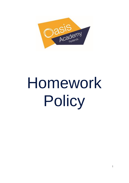

# Homework Policy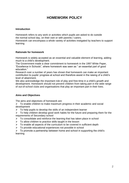# **HOMEWORK POLICY**

# **Introduction**

Homework refers to any work or activities which pupils are asked to do outside the normal school day, on their own or with parents / carers.

Homework can encompass a whole variety of activities instigated by teachers to support learning

# **Rationale for homework**

Homework is widely accepted as an essential and valuable element of learning, adding much to a child's development.

The Government made a clear commitment to homework in the 1997 White Paper, "Excellence in Schools", where homework was seen as " an essential part of good education."

Research over a number of years has shown that homework can make an important contribution to pupils' progress at school and therefore assist in the raising of a child's level of attainment.

We also acknowledge the important role of play and free-time in a child's growth and development. Homework should not prevent children from taking part in the wide range of out-of-school clubs and organisations that play an important part in their lives.

# **Aims and Objectives**

The aims and objectives of homework are:

 $\triangleright$  To enable children to make maximum progress in their academic and social development

 $\triangleright$  To help pupils to develop the skills of an independent learner

 $\triangleright$  To help children develop good work habits for the future and preparing them for the requirements of Secondary school

- $\triangleright$  To consolidate and reinforce the learning that has taken place in school
- $\triangleright$  To allow children to practice skills taught in the lesson
- $\triangleright$  To enable all aspects of the curriculum to be covered in sufficient depth
- $\triangleright$  To provide educational experiences not possible in school

 $\triangleright$  To promote a partnership between home and school in supporting the child's learning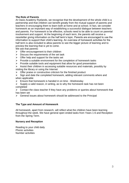# **The Role of Parents**

At Oasis Academy Ryelands, we recognise that the development of the whole child is a partnership and that children can benefit greatly from the mutual support of parents and teachers in encouraging them to learn both at home and at school. In fact, we consider homework as an important way of establishing a successful dialogue between teachers and parents. For homework to be effective, schools need to be able to count on parental involvement and support. At the beginning of each term, the parents will receive a newsletter giving information on the half term's topic. Parents are encouraged to use the information to support their child's learning. An overview of homework activities for the half term is also included to allow parents to see the bigger picture of learning and to preview the learning that is yet to come.

We ask that parents:

- $\triangleright$  Offer encouragement to their children
- $\triangleright$  Discuss the requirements of the set task
- $\triangleright$  Offer help and support for the tasks set
- $\triangleright$  Provide a suitable environment for the completion of homework tasks
- $\triangleright$  Provide suitable tools and equipment that allow for good presentation
- $\triangleright$  Assist their children in accessing suitable resources and materials, possibly by visiting the library or using the Internet
- $\triangleright$  Offer praise or constructive criticism for the finished product
- $\triangleright$  Sign and date the completed homework, adding relevant comments where and when applicable
- $\triangleright$  Ensure that homework is handed in on time Wednesday
- $\triangleright$  Supply a valid reason, in writing, as to why the homework task has not been completed

 $\triangleright$  Contact the class teacher if they have any problems or queries about homework that has been set

 $\triangleright$  General issues about homework should be addressed to the Principal

# **The Type and Amount of Homework**

All homework, apart from research, will reflect what the children have been learning throughout the week. We have general open ended tasks from Years 1-6 and Reception from the Spring Term.

# **Nursery and Reception**

Reading to your child daily Phonic activities Number activities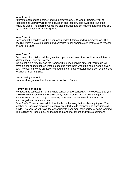#### **Year 1 and 2**

Alternate open ended Literacy and Numeracy tasks. One week Numeracy will be recorded and Literacy will be for discussion and then it will be swapped round the following week. The spelling words are also included and correlate to assignments set, by the class teacher on Spelling Shed.

#### **Year 3 and 4**

Each week the children will be given open ended Literacy and Numeracy tasks. The spelling words are also included and correlate to assignments set, by the class teacher on Spelling Shed.

#### **Year 5 and 6**

Each week the children will be given two open ended tasks that could include Literacy, Mathematics, Topic or Science.

We do not put a time limit on the homework as each child is different. Your child will have a clear expectation on what is expected from them when the home work is given out. The spelling words are also included and correlate to assignments set, by the class teacher on Spelling Shed.

#### **Homework given out**

Homework is given out for the whole school on a Friday.

#### **Homework handed in**

Homework is collected in for the whole school on a Wednesday. It is expected that your child will write a comment about what they thought of the task or how they got on. Parents are expected to sign to say they have seen the homework. Parents are encouraged to write a comment.

From 9 – 9:25 every class will look at the home learning that has been going on. The teacher will focus on creativity, presentation, effort, etc to motivate and encourage all pupils. The children will have the opportunity to peer mark their partners' home learning. The teacher will then collect all the books in and mark them and write a comment.